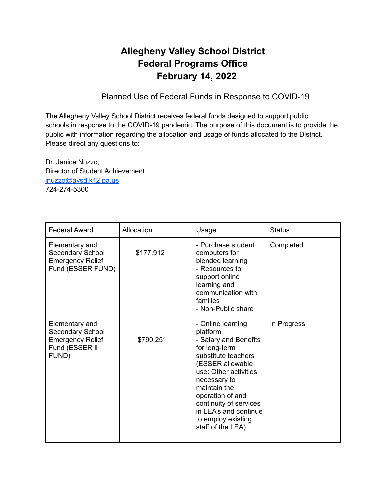## **Allegheny Valley School District Federal Programs Office February 14, 2022**

Planned Use of Federal Funds in Response to COVID-19

The Allegheny Valley School District receives federal funds designed to support public schools in response to the COVID-19 pandemic. The purpose of this document is to provide the public with information regarding the allocation and usage of funds allocated to the District. Please direct any questions to:

Dr. Janice Nuzzo, Director of Student Achievement [jnuzzo@avsd.k12.pa.us](mailto:jnuzzo@avsd.k12.pa.us) 724-274-5300

| <b>Federal Award</b>                                                                     | Allocation | Usage                                                                                                                                                                                                                                                                                         | <b>Status</b> |
|------------------------------------------------------------------------------------------|------------|-----------------------------------------------------------------------------------------------------------------------------------------------------------------------------------------------------------------------------------------------------------------------------------------------|---------------|
| Elementary and<br>Secondary School<br><b>Emergency Relief</b><br>Fund (ESSER FUND)       | \$177,912  | - Purchase student<br>computers for<br>blended learning<br>- Resources to<br>support online<br>learning and<br>communication with<br>families<br>- Non-Public share                                                                                                                           | Completed     |
| Elementary and<br>Secondary School<br><b>Emergency Relief</b><br>Fund (ESSER II<br>FUND) | \$790,251  | - Online learning<br>platform<br>- Salary and Benefits<br>for long-term<br>substitute teachers<br>(ESSER allowable<br>use: Other activities<br>necessary to<br>maintain the<br>operation of and<br>continuity of services<br>in LEA's and continue<br>to employ existing<br>staff of the LEA) | In Progress   |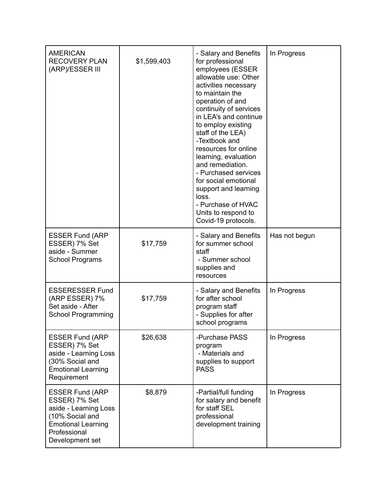| <b>AMERICAN</b><br><b>RECOVERY PLAN</b><br>(ARP)/ESSER III                                                                                          | \$1,599,403 | - Salary and Benefits<br>for professional<br>employees (ESSER<br>allowable use: Other<br>activities necessary<br>to maintain the<br>operation of and<br>continuity of services<br>in LEA's and continue<br>to employ existing<br>staff of the LEA)<br>-Textbook and<br>resources for online<br>learning, evaluation<br>and remediation.<br>- Purchased services<br>for social emotional<br>support and learning<br>loss.<br>- Purchase of HVAC<br>Units to respond to<br>Covid-19 protocols. | In Progress   |
|-----------------------------------------------------------------------------------------------------------------------------------------------------|-------------|----------------------------------------------------------------------------------------------------------------------------------------------------------------------------------------------------------------------------------------------------------------------------------------------------------------------------------------------------------------------------------------------------------------------------------------------------------------------------------------------|---------------|
| <b>ESSER Fund (ARP</b><br>ESSER) 7% Set<br>aside - Summer<br><b>School Programs</b>                                                                 | \$17,759    | - Salary and Benefits<br>for summer school<br>staff<br>- Summer school<br>supplies and<br>resources                                                                                                                                                                                                                                                                                                                                                                                          | Has not begun |
| <b>ESSERESSER Fund</b><br>(ARP ESSER) 7%<br>Set aside - After<br><b>School Programming</b>                                                          | \$17,759    | - Salary and Benefits<br>for after school<br>program staff<br>- Supplies for after<br>school programs                                                                                                                                                                                                                                                                                                                                                                                        | In Progress   |
| <b>ESSER Fund (ARP</b><br>ESSER) 7% Set<br>aside - Learning Loss<br>(30% Social and<br><b>Emotional Learning</b><br>Requirement                     | \$26,638    | -Purchase PASS<br>program<br>- Materials and<br>supplies to support<br><b>PASS</b>                                                                                                                                                                                                                                                                                                                                                                                                           | In Progress   |
| <b>ESSER Fund (ARP</b><br>ESSER) 7% Set<br>aside - Learning Loss<br>(10% Social and<br><b>Emotional Learning</b><br>Professional<br>Development set | \$8,879     | -Partial/full funding<br>for salary and benefit<br>for staff SEL<br>professional<br>development training                                                                                                                                                                                                                                                                                                                                                                                     | In Progress   |